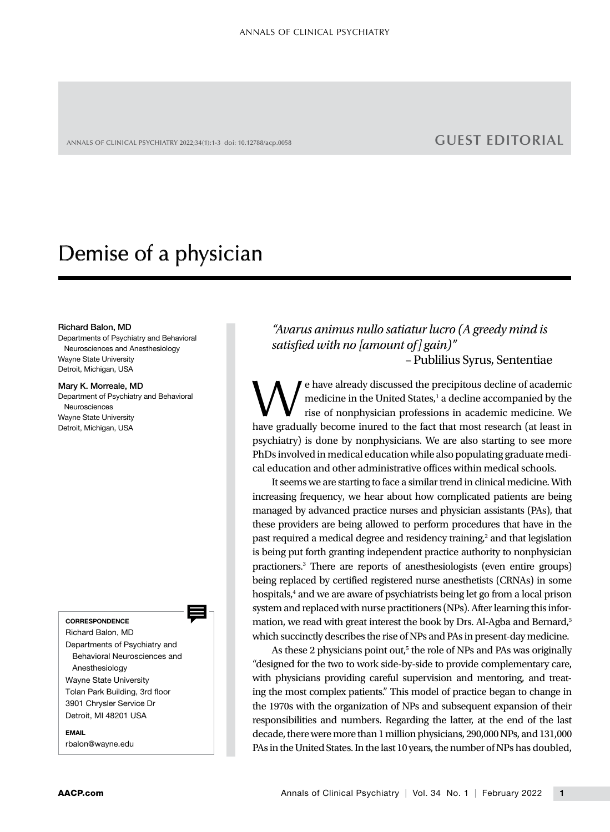ANNALS OF CLINICAL PSYCHIATRY 2022;34(1):1-3 doi: 10.12788/acp.0058 **GUEST EDITORIAL**

# Demise of a physician

### Richard Balon, MD

Departments of Psychiatry and Behavioral Neurosciences and Anesthesiology Wayne State University Detroit, Michigan, USA

## Mary K. Morreale, MD Department of Psychiatry and Behavioral Neurosciences Wayne State University

Detroit, Michigan, USA

**CORRESPONDENCE** 

Richard Balon, MD Departments of Psychiatry and Behavioral Neurosciences and Anesthesiology Wayne State University Tolan Park Building, 3rd floor 3901 Chrysler Service Dr Detroit, MI 48201 USA

EMAIL [rbalon@wayne.edu](mailto:rbalon@wayne.edu)

*"Avarus animus nullo satiatur lucro (A greedy mind is satisfied with no [amount of] gain)"* – Publilius Syrus, Sententiae

e have already discussed the precipitous decline of academic medicine in the United States,<sup>1</sup> a decline accompanied by the rise of nonphysician professions in academic medicine. We have gradually become inured to the fact that most research (at least in psychiatry) is done by nonphysicians. We are also starting to see more PhDs involved in medical education while also populating graduate medical education and other administrative offices within medical schools.

It seems we are starting to face a similar trend in clinical medicine. With increasing frequency, we hear about how complicated patients are being managed by advanced practice nurses and physician assistants (PAs), that these providers are being allowed to perform procedures that have in the past required a medical degree and residency training,<sup>2</sup> and that legislation is being put forth granting independent practice authority to nonphysician practioners.3 There are reports of anesthesiologists (even entire groups) being replaced by certified registered nurse anesthetists (CRNAs) in some hospitals,<sup>4</sup> and we are aware of psychiatrists being let go from a local prison system and replaced with nurse practitioners (NPs). After learning this information, we read with great interest the book by Drs. Al-Agba and Bernard,<sup>5</sup> which succinctly describes the rise of NPs and PAs in present-day medicine.

As these 2 physicians point out,<sup>5</sup> the role of NPs and PAs was originally "designed for the two to work side-by-side to provide complementary care, with physicians providing careful supervision and mentoring, and treating the most complex patients." This model of practice began to change in the 1970s with the organization of NPs and subsequent expansion of their responsibilities and numbers. Regarding the latter, at the end of the last decade, there were more than 1 million physicians, 290,000 NPs, and 131,000 PAs in the United States. In the last 10 years, the number of NPs has doubled,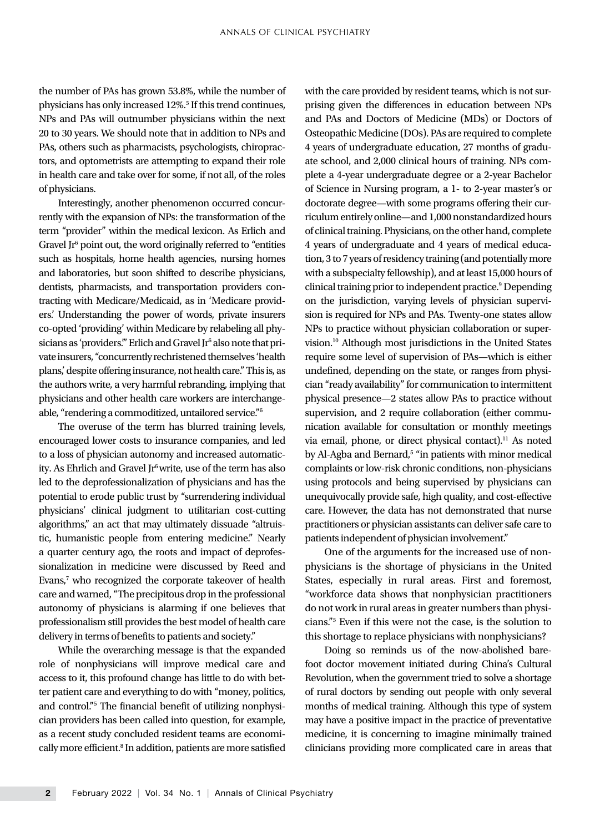the number of PAs has grown 53.8%, while the number of physicians has only increased 12%.<sup>5</sup> If this trend continues, NPs and PAs will outnumber physicians within the next 20 to 30 years. We should note that in addition to NPs and PAs, others such as pharmacists, psychologists, chiropractors, and optometrists are attempting to expand their role in health care and take over for some, if not all, of the roles of physicians.

Interestingly, another phenomenon occurred concurrently with the expansion of NPs: the transformation of the term "provider" within the medical lexicon. As Erlich and Gravel Jr<sup>6</sup> point out, the word originally referred to "entities such as hospitals, home health agencies, nursing homes and laboratories, but soon shifted to describe physicians, dentists, pharmacists, and transportation providers contracting with Medicare/Medicaid, as in 'Medicare providers.' Understanding the power of words, private insurers co-opted 'providing' within Medicare by relabeling all physicians as 'providers." Erlich and Gravel Jr<sup>6</sup> also note that private insurers, "concurrently rechristened themselves 'health plans,' despite offering insurance, not health care." This is, as the authors write, a very harmful rebranding, implying that physicians and other health care workers are interchangeable, "rendering a commoditized, untailored service."6

The overuse of the term has blurred training levels, encouraged lower costs to insurance companies, and led to a loss of physician autonomy and increased automaticity. As Ehrlich and Gravel Jr<sup>6</sup> write, use of the term has also led to the deprofessionalization of physicians and has the potential to erode public trust by "surrendering individual physicians' clinical judgment to utilitarian cost-cutting algorithms," an act that may ultimately dissuade "altruistic, humanistic people from entering medicine." Nearly a quarter century ago, the roots and impact of deprofessionalization in medicine were discussed by Reed and Evans,<sup>7</sup> who recognized the corporate takeover of health care and warned, "The precipitous drop in the professional autonomy of physicians is alarming if one believes that professionalism still provides the best model of health care delivery in terms of benefits to patients and society."

While the overarching message is that the expanded role of nonphysicians will improve medical care and access to it, this profound change has little to do with better patient care and everything to do with "money, politics, and control."5 The financial benefit of utilizing nonphysician providers has been called into question, for example, as a recent study concluded resident teams are economically more efficient.<sup>8</sup> In addition, patients are more satisfied with the care provided by resident teams, which is not surprising given the differences in education between NPs and PAs and Doctors of Medicine (MDs) or Doctors of Osteopathic Medicine (DOs). PAs are required to complete 4 years of undergraduate education, 27 months of graduate school, and 2,000 clinical hours of training. NPs complete a 4-year undergraduate degree or a 2-year Bachelor of Science in Nursing program, a 1- to 2-year master's or doctorate degree—with some programs offering their curriculum entirely online—and 1,000 nonstandardized hours of clinical training. Physicians, on the other hand, complete 4 years of undergraduate and 4 years of medical education, 3 to 7 years of residency training (and potentially more with a subspecialty fellowship), and at least 15,000 hours of clinical training prior to independent practice.<sup>9</sup> Depending on the jurisdiction, varying levels of physician supervision is required for NPs and PAs. Twenty-one states allow NPs to practice without physician collaboration or supervision.10 Although most jurisdictions in the United States require some level of supervision of PAs—which is either undefined, depending on the state, or ranges from physician "ready availability" for communication to intermittent physical presence—2 states allow PAs to practice without supervision, and 2 require collaboration (either communication available for consultation or monthly meetings via email, phone, or direct physical contact).<sup>11</sup> As noted by Al-Agba and Bernard,<sup>5</sup> "in patients with minor medical complaints or low-risk chronic conditions, non-physicians using protocols and being supervised by physicians can unequivocally provide safe, high quality, and cost-effective care. However, the data has not demonstrated that nurse practitioners or physician assistants can deliver safe care to patients independent of physician involvement."

One of the arguments for the increased use of nonphysicians is the shortage of physicians in the United States, especially in rural areas. First and foremost, "workforce data shows that nonphysician practitioners do not work in rural areas in greater numbers than physicians."5 Even if this were not the case, is the solution to this shortage to replace physicians with nonphysicians?

Doing so reminds us of the now-abolished barefoot doctor movement initiated during China's Cultural Revolution, when the government tried to solve a shortage of rural doctors by sending out people with only several months of medical training. Although this type of system may have a positive impact in the practice of preventative medicine, it is concerning to imagine minimally trained clinicians providing more complicated care in areas that